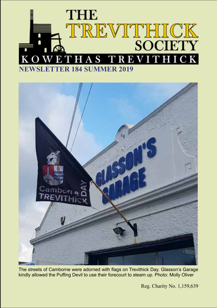



The streets of Camborne were adorned with flags on Trevithick Day. Glasson's Garage kindly allowed the Puffing Devil to use their forecourt to steam up. Photo: Molly Oliver

Reg. Charity No. 1,159,639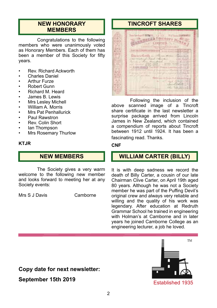# **NEW HONORARY MEMBERS**

Congratulations to the following members who were unanimously voted as Honorary Members. Each of them has been a member of this Society for fifty years.

- Rev. Richard Ackworth
- Charles Daniel
- **Arthur Furze**
- Robert Gunn
- Richard M. Heard
- James B. Lewis
- Mrs Lesley Michell
- William A. Morris
- Mrs Pat Penhallurick
- Paul Rawstron
- Rev. Colin Short
- Ian Thompson<br>• Mrs Posemary
- Mrs Rosemary Thurlow

#### **KTJR**

# **NEW MEMBERS**

The Society gives a very warm welcome to the following new member and looks forward to meeting her at any Society events:

Mrs S J Davis Camborne

# **TINCROFT SHARES**

Witness harmer **THE BUILT AND STATES** Committeeworking This is to Events .... off mixed from the **CONTROL** 

Following the inclusion of the above scanned image of a Tincroft share certificate in the last newsletter a surprise package arrived from Lincoln James in New Zealand, which contained a compendium of reports about Tincroft between 1912 until 1924. It has been a fascinating read. Thanks.

#### **CNF**

### **WILLIAM CARTER (BILLY)**

I

It is with deep sadness we record the death of Billy Carter, a cousin of our late Chairman Clive Carter, on April 19th aged 80 years. Although he was not a Society member he was part of the Puffing Devil's original crew and always very reliable and willing and the quality of his work was legendary. After education at Redruth Grammar School he trained in engineering with Holman's at Camborne and in later years he joined Camborne College as an engineering lecturer, a job he loved.

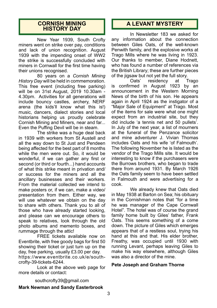#### **CORNISH MINING HISTORY DAY**

New Year 1939, South Crofty miners went on strike over pay, conditions and lack of union recognition. August 1939 with the impending onset of WW2 the strike is successfully concluded with miners in Cornwall for the first time having their unions recognised.

80 years on a *Cornish Mining History Day* will be held in commemoration. This free event (including free parking) will be on 31st August, 2019 10.30am - 4.30pm. Activities for all generations will include bouncy castles, archery, NERF arena (the kids'll know what this is!) music, dancers, dialect stories and local historians helping us proudly celebrate Cornish Mining and Miners, near and far... Even the Puffing Devil will be in steam.

The strike was a huge deal back in 1939 with workers from St Austell and all the way down to St Just and Pendeen being affected for the best part of 8 months while the men were out. So, it would be wonderful, if we can gather any first or second (or third or fourth...) hand accounts of what this strike meant in privation and/ or success for the miners and all the ancillary businesses and their workers. From the material collected we intend to make posters or, if we can, make a video/ presentation from them. Either way, we will use whatever we obtain on the day to share with others. Thank you to all of those who have already started looking, and please can we encourage others to speak to relatives, look through the old photo albums and memento boxes, and rummage through the attic!

FREE tickets available now on Eventbrite, with free goody bags for first 50 showing their ticket or just turn up on the day, free parking, usually £3.00 per day. https://www.eventbrite.co.uk/e/southcrofty-39-tickets-6244.

Look at the above web page for more details or contact:

# **A LEVANT MYSTERY**

In Newsletter 183 we asked for any information about the connection between Giles Oats, of the well-known Penwith family, and the explosive works at Trago Mills where he was living in 1923. Our thanks to member, Diane Hodnett, who has found a number of references via the British Library; these are further pieces of the jigsaw but not yet the full story.

Oats' residency at Trago is confirmed in August 1923 by an announcement in the Western Morning News of the birth of his son. He appears again in April 1924 as the instigator of a "Major Sale of Equipment" at Trago. Most of the items for sale were what one might expect from an industrial site, but they did include 'a tennis net and 50 pullets'. In July of the next year, a list of mourners at the funeral of the Penzance solicitor and mine adventurer J. Vivian Thomas includes Oats and his wife 'of Falmouth'. The following November he is listed as the vendor of the Trago Mills site. It would be interesting to know if the purchasers were the Burrows brothers, who began to trade there from around 1931. By March 1926 the Oats family seem to have been settled in Falmouth and were advertising for a cook.

We already knew that Oats died in May 1938 at Barton on Sea; his obituary in the Cornishman notes that "for a time he was manager of the Cape Cornwall Hotel". The hotel was of course the grand family home built by Giles' father, Frank Oats. This seems something of a come down. The picture of Giles which emerges appears that of a restless soul, trying his hand at this and that. His elder brother, Freathy, was occupied until 1930 with running Levant, perhaps leaving Giles to make his way elsewhere, although Giles was also a director of the mine.

#### **Pete Joseph and Graham Thorne**

southcrofty39@gmail.com **Mark Newman and Sandy Easterbrook**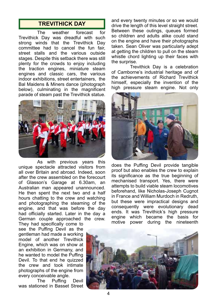### **TREVITHICK DAY**

The weather forecast for Trevithick Day was dreadful with such strong winds that the Trevithick Day committee had to cancel the fun fair, street stalls and the various outside stages. Despite this setback there was still plenty for the crowds to enjoy including the traction engines, miniature steam engines and classic cars, the various indoor exhibitions, street entertainers, the Bal Maidens & Miners dance (photograph below), culminating in the magnificent parade of steam past the Trevithick statue.



As with previous years this unique spectacle attracted visitors from all over Britain and abroad. Indeed, soon after the crew assembled on the forecourt of Glasson's Garage at 6.30am, an Australian man appeared unannounced. He then spent the next two and a half hours chatting to the crew and watching and photographing the steaming of the engine, and that was before the day had officially started. Later in the day a German couple approached the crew.

They had specifically come to see the Puffing Devil as the gentleman had made a working model of another Trevithick Engine, which was on show at an exhibition in Germany, and he wanted to model the Puffing Devil. To that end he quizzed the crew and took intimate photographs of the engine from every conceivable angle.

The Puffing Devil was stationed in Basset Street and every twenty minutes or so we would drive the length of this level straight street. Between these outings, queues formed so children and adults alike could stand on the engine and have their photographs taken. Sean Oliver was particularly adept at getting the children to pull on the steam whistle chord lighting up their faces with the surprise.

Trevithick Day is a celebration of Camborne's industrial heritage and of the achievements of Richard Trevithick himself, especially the invention of the high pressure steam engine. Not only



does the Puffing Devil provide tangible proof but also enables the crew to explain its significance as the true beginning of mechanised transport. Yes, there were attempts to build viable steam locomotives beforehand, like Nicholas-Joseph Cugnot in France and William Murdoch in Redruth, but these were impractical designs and consequently were evolutionary dead ends. It was Trevithick's high pressure engine which became the basis for motive power during the nineteenth

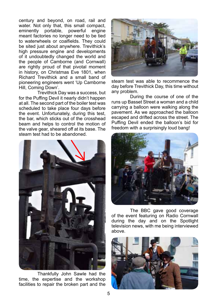century and beyond, on road, rail and water. Not only that, this small compact,<br>eminently portable, powerful engine powerful engine meant factories no longer need to be tied to waterwheels or coalfields. They could be sited just about anywhere. Trevithick's high pressure engine and developments of it undoubtedly changed the world and the people of Camborne (and Cornwall) are rightly proud of that pivotal moment in history, on Christmas Eve 1801, when Richard Trevithick and a small band of pioneering engineers went 'Up Camborne Hill, Coming Down'.

Trevithick Day was a success, but for the Puffing Devil it nearly didn't happen at all. The second part of the boiler test was scheduled to take place four days before the event. Unfortunately, during this test, the bar, which sticks out of the crosshead beam and helps to control the motion of the valve gear, sheared off at its base. The steam test had to be abandoned.



Thankfully John Sawle had the time, the expertise and the workshop facilities to repair the broken part and the



steam test was able to recommence the day before Trevithick Day, this time without any problem.

During the course of one of the runs up Basset Street a woman and a child carrying a balloon were walking along the pavement. As we approached the balloon escaped and drifted across the street. The Puffing Devil ended the balloon's bid for freedom with a surprisingly loud bang!



The BBC gave good coverage of the event featuring on Radio Cornwall during the day and on the Spotlight television news, with me being interviewed above.

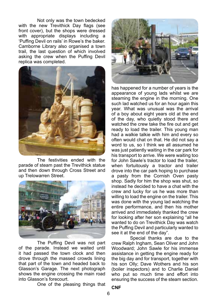Not only was the town bedecked with the new Trevithick Day flags (see front cover), but the shops were dressed with appropriate displays including a 'Puffing Devil on rails' in Rowe's the baker. Camborne Library also organised a town trail, the last question of which involved asking the crew when the Puffing Devil replica was completed.



The festivities ended with the parade of steam past the Trevithick statue and then down through Cross Street and up Trelowarren Street.



The Puffing Devil was not part of the parade. Instead we waited until it had passed the town clock and then drove through the massed crowds lining that part of the town and headed back to Glasson's Garage. The next photograph shows the engine crossing the main road into Glasson's forecourt.

One of the pleasing things that



has happened for a number of years is the appearance of young lads whilst we are steaming the engine in the morning. One such lad watched us for an hour again this year. What was unusual was the arrival of a boy about eight years old at the end of the day, who quietly stood there and watched the crew take the fire out and get ready to load the trailer. This young man had a walkie talkie with him and every so often would chat on that. He did not say a word to us, so I think we all assumed he was just patiently waiting in the car park for his transport to arrive. We were waiting too for John Sawle's tractor to load the trailer, when fortuitously a tractor and trailer drove into the car park hoping to purchase a pasty from the Cornish Oven pasty shop. Sadly for him the shop was shut, so instead he decided to have a chat with the crew and lucky for us he was more than willing to load the engine on the trailer. This was done with the young lad watching the entire performance, and then his mother arrived and immediately thanked the crew for looking after her son explaining "all he wanted to do on Trevithick Day was watch the Puffing Devil and particularly wanted to see it at the end of the day".

Special thanks are due to the crew Ralph Ingham, Sean Oliver and John Woodward; John Sawle for his immense assistance in getting the engine ready for the big day and for transport, together with his son Olly; Dave Wothers and his son (boiler inspectors) and to Charlie Daniel who put so much time and effort into ensuring the success of the steam section.

**CNF**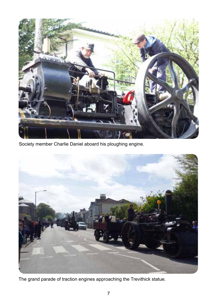

Society member Charlie Daniel aboard his ploughing engine.



The grand parade of traction engines approaching the Trevithick statue.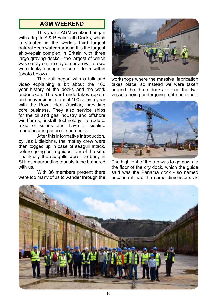# **AGM WEEKEND**

This year's AGM weekend began with a trip to  $A \& B$  Falmouth Docks, which is situated in the world's third largest natural deep water harbour. It is the largest ship-repair complex in Britain with three large graving docks - the largest of which was empty on the day of our arrival, so we were lucky enough to see it from within (photo below).

The visit began with a talk and video explaining a bit about the 160 year history of the docks and the work undertaken. The yard undertakes repairs and conversions to about 100 ships a year with the Royal Fleet Auxillary providing core business. They also service ships for the oil and gas industry and offshore windfarms, install technology to reduce toxic emissions and have a sideline manufacturing concrete pontoons.

After this informative introduction, by Jez Littlejohns, the motley crew were then togged up in case of seagull attack, before going on a guided tour of the site. Thankfully the seagulls were too busy in St Ives maurauding tourists to be bothered with us.

With 36 members present there were too many of us to wander through the



workshops where the massive fabrication takes place, so instead we were taken around the three docks to see the two vessels being undergoing refit and repair.



The highlight of the trip was to go down to the floor of the dry dock, which the guide said was the Panama dock - so named because it had the same dimensions as

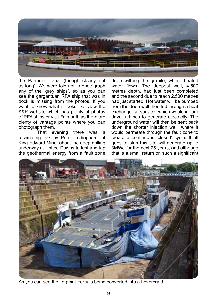

the Panama Canal (though clearly not as long). We were told not to photograph any of the 'grey ships', so as you can see the gargantuan RFA ship that was in dock is missing from the photos. If you want to know what it looks like view the A&P website which has plenty of photos of RFA ships or visit Falmouth as there are plenty of vantage points where you can photograph them.

That evening there was a fascinating talk by Peter Ledingham, at King Edward Mine, about the deep drilling underway at United Downs to test and tap the geothermal energy from a fault zone

deep withing the granite, where heated water flows. The deepest well, 4,500 metres depth, had just been completed and the second due to reach 2,500 metres had just started. Hot water will be pumped from the deep well then fed through a heat exchanger at surface, which would in turn drive turbines to generate electricity. The underground water will then be sent back down the shorter injection well, where it would permeate through the fault zone to create a continuous 'closed' cycle. If all goes to plan this site will generate up to 3MWe for the next 25 years, and although that is a small return on such a significant



As you can see the Torpoint Ferry is being converted into a hovercraft!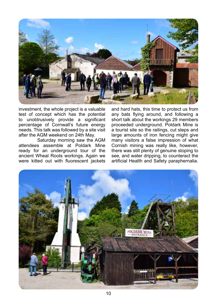

investment, the whole project is a valuable test of concept which has the potential to unobtrusively provide a significant percentage of Cornwall's future energy needs. This talk was followed by a site visit after the AGM weekend on 24th May.

Saturday morning saw the AGM attendees assemble at Poldark Mine ready for an underground tour of the ancient Wheal Roots workings. Again we were kitted out with fluorescent jackets

and hard hats, this time to protect us from any bats flying around, and following a short talk about the workings 29 members proceeded underground. Poldark Mine is a tourist site so the railings, cut steps and large amounts of iron fencing might give many visitors a false impression of what Cornish mining was really like, however, there was still plenty of genuine stoping to see, and water dripping, to counteract the artificial Health and Safety paraphernalia.

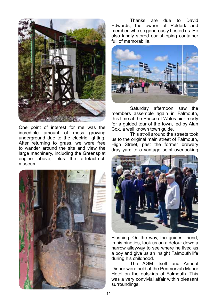

One point of interest for me was the incredible amount of moss growing underground due to the electric lighting. After returning to grass, we were free to wander around the site and view the large machinery, including the Greensplat engine above, plus the artefact-rich museum.



Thanks are due to David Edwards, the owner of Poldark and member, who so generously hosted us. He also kindly stored our shipping container full of memorabilia.



Saturday afternoon saw the members assemble again in Falmouth, this time at the Prince of Wales pier ready for a guided tour of the town, led by Alan Cox, a well known town guide.

This stroll around the streets took us to the original main street of Falmouth, High Street, past the former brewery dray yard to a vantage point overlooking



Flushing. On the way, the guides' friend, in his nineties, took us on a detour down a narrow alleyway to see where he lived as a boy and give us an insight Falmouth life during his childhood.

The AGM itself and Annual Dinner were held at the Penmorvah Manor Hotel on the outskirts of Falmouth. This was a very convivial affair within pleasant surroundings.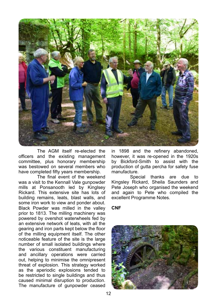

The AGM itself re-elected the officers and the existing management committee, plus honorary membership was bestowed on several members who have completed fifty years membership.

The final event of the weekend was a visit to the Kennall Vale gunpowder mills at Ponsanooth led by Kinglsey Rickard. This extensive site has lots of building remains, leats, blast walls, and some iron work to view and ponder about. Black Powder was milled in the valley prior to 1813. The milling machinery was powered by overshot waterwheels fed by an extensive network of leats, with all the gearing and iron parts kept below the floor of the milling equipment itself. The other noticeable feature of the site is the large number of small isolated buildings where the various constituent manufacturing and ancillary operations were carried out, helping to minimise the omnipresent threat of explosion. This strategy worked as the aperiodic explosions tended to be restricted to single buildings and thus caused minimal disruption to production. The manufacture of gunpowder ceased

in 1898 and the refinery abandoned, however, it was re-opened in the 1920s by Bickford-Smith to assist with the production of gutta percha for safety fuse manufacture.

Special thanks are due to Kingsley Rickard, Sheila Saunders and Pete Joseph who organised the weekend and again to Pete who compiled the excellent Programme Notes.

#### **CNF**

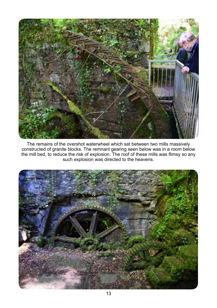

The remains of the overshot waterwheel which sat between two mills massively constructed of granite blocks. The remnant gearing seen below was in a room below the mill bed, to reduce the risk of explosion. The roof of these mills was flimsy so any such explosion was directed to the heavens.

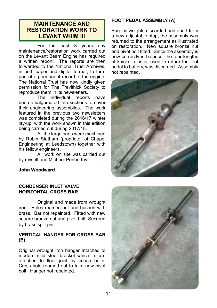### **MAINTENANCE AND RESTORATION WORK TO LEVANT WHIM III**

For the past 3 years any maintenance/restoration work carried out on the Levant Beam Engine has required a written report. The reports are then forwarded to the National Trust Archives, in both paper and digital format, to form part of a permanent record of the engine. The National Trust has now kindly given permission for The Trevithick Society to reproduce them in its newsletters.

The individual reports have been amalgamated into sections to cover their engineering assemblies. The work featured in the previous two newsletters was completed during the 2016/17 winter lay-up, with the work shown in this edition being carried out during 2017/18.

All the large parts were machined by Robin Statham (proprietor of Chapel Engineering at Leedstown) together with his fellow engineers.

All work on site was carried out by myself and Michael Penberthy.

### **FOOT PEDAL ASSEMBLY (A)**

Surplus weights discarded and apart from a new adjustable stop, the assembly was returned to the arrangement as illustrated on restoration. New square bronze nut and pivot bolt fitted. Since the assembly is now correctly in balance, the four lengths of knicker elastic, used to return the foot pedal to battery, was discarded. Assembly not repainted.



#### **John Woodward**

#### **CONDENSER INLET VALVE HORIZONTAL CROSS BAR**

Original and made from wrought iron. Holes reamed out and bushed with brass. Bar not repainted. Fitted with new square bronze nut and pivot bolt. Secured by brass split pin.

#### **VERTICAL HANGER FOR CROSS BAR (B)**

Original wrought iron hanger attached to modern mild steel bracket which in turn attached to floor joist by coach bolts. Cross hole reamed out to take new pivot bolt. Hanger not repainted.

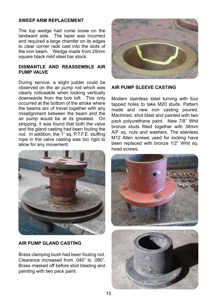#### **SWEEP ARM REPLACEMENT**

The top wedge had come loose on the landward side. The taper was incorrect and required a large chamfer on its edges to clear corner radii cast into the slots of the iron beam. Wedge made from 25mm square black mild steel bar stock.

#### **DISMANTLE AND REASSEMBLE AIR PUMP VALVE**

During service, a slight judder could be observed on the air pump rod which was clearly noticeable when looking vertically downwards from the bob loft. This only occurred at the bottom of the stroke where the beams arc of travel together with any misalignment between the beam and the air pump would be at its greatest. On stripping, it was found that both the valve and the gland casting had been fouling the rod. In addition, the 1" sq. P.T.F.E. stuffing rope in the valve casting was too rigid to allow for any movement.



#### **AIR PUMP GLAND CASTING**

Brass clamping bush had been fouling rod. Clearance increased from .040" to .080". Brass masked off before shot blasting and painting with two pack paint.



#### **AIR PUMP SLEEVE CASTING**

Modern stainless steel turning with four tapped holes to take M20 studs. Pattern made and new iron casting poured. Machined, shot blast and painted with two pack polyurethane paint. New 7/8" Whit bronze studs fitted together with 38mm A/F sq. nuts and washers. The stainless M12 Allen screws used for locking have been replaced with bronze 1/2" Whit sq. head screws.

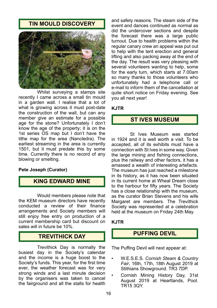# **TIN MOULD DISCOVERY**



Whilst surveying a stamps site recently I came across a small tin mould in a garden wall. I realise that a lot of what is growing across it must post-date the construction of the wall, but can any member give an estimate for a possible age for the stone? Unfortunately I don't know the age of the property; it is on the 1st series OS map but I don't have the tithe map for the area (Nancledra). The earliest streaming in the area is currently 1501, but it must predate this by some time. Currently there is no record of any blowing or smelting.

#### **Pete Joseph (Curator)**

### **KING EDWARD MINE**

Would members please note that the KEM museum directors have recently conducted a review of their finance arrangements and Society members will still enjoy free entry on production of a current membership card but discount on sales will in future be 10%.

# **TREVITHICK DAY**

Trevithick Day is normally the busiest day in the Society's calendar and the income is a huge boost to the Society's funds. This year, for the first time ever, the weather forecast was for very strong winds and a last minute decision by the organisers was taken to cancel the fairground and all the stalls for health

and safety reasons. The steam side of the event and dances continued as normal as did the undercover sections and despite the forecast there was a large public turnout. Due to health problems within the regular canary crew an appeal was put out to help with the tent erection and general lifting and also packing away at the end of the day. The result was very pleasing with several volunteers wanting to help, some for the early turn, which starts at 7.00am so many thanks to those volunteers who unfortunately had a telephone call or e-mail to inform them of the cancellation at quite short notice on Friday evening. See you all next year!

#### **KJTR**

### **ST IVES MUSEUM**

St Ives Museum was started in 1924 and it is well worth a visit. To be accepted, all of its exhibits must have a connection with St Ives in some way. Given the large mining and fishing connections, plus the railway and other factors, it has a amassed a wealth of interesting artefacts. The museum has just reached a milestone in its history, as it has now been situated in its current home at Wheal Dream close to the harbour for fifty years. The Society has a close relationship with the museum, as the curator Brian Stevens and his wife Margaret are members. The Trevithick Society was represented at a celebration held at the museum on Friday 24th May.

#### **KJTR**

# **PUFFING DEVIL**

The Puffing Devil will next appear at:

- W.E.S.E.S. *Cornish Steam & Country Fair*, 16th, 17th, 18th August 2019 at Stithians Showground. TR3 7DP.
- Cornish Mining History Day, 31st August 2019 at Heartlands, Pool. TR15 3QY.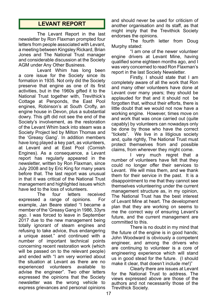# **LEVANT REPORT**

The Levant Report in the last newsletter by Ron Flaxman prompted four letters from people associated with Levant, a meeting between Kingsley Rickard, Brian Jones and The National Trust manager and considerable discussion at the Society AGM under Any Other Business.

Levant Whim has long been a core issue for the Society since its formation in 1935. Not only did the Society preserve that engine as one of its first activities, but in the 1960s gifted it to the National Trust together with, Trevithick's Cottage at Penponds, the East Pool engines, Robinson's at South Crofty, an engine house in Devon, plus a substantial dowry. This gift did not see the end of the Society's involvement, as the restoration of the Levant Whim back into steam was a Society Project led by Milton Thomas and the 'Greasy Gang'. In addition members have long played a key part, as volunteers, at Levant and at East Pool (Cornish Engines). As a consequence, a Levant report has regularly appeared in the newsletter, written by Ron Flaxman, since July 2008 and by Eric King for many years before that. The last report was unusual in that it was critical of the National Trust management and highlighted issues which have led to the loss of volunteers.<br>The four letters

**Teceived** expressed a range of opinions. For example, Jan Beare stated "I became a member of the 'Greasy Gang in 1986, 33yrs ago. I was forced to leave in September 2017 due to the new management being totally ignorant of steam engines and refusing to take advice, thus endangering a unique asset." and continued with a number of important technical points concerning recent restoration work (which will be passed on to the relevant people) and ended with "I am very worried about the situation at Levant as there are no experienced volunteers available to advise the engineer". Two other letters expressed the opinions that the Society newsletter was the wrong vehicle to express grievances and personal opinions

and should never be used for criticism of another organisation and its staff, as that might imply that the Trevithick Society endorses the opinions.

The fourth letter from Doug Murphy stated:

"I am one of the newer volunteer engine drivers at Levant Mine, having qualified some eighteen months ago, and I was very concerned to read Ron Flaxman's report in the last Society Newsletter.

Firstly, I should state that I am completely aware of all the work that Ron and many other volunteers have done at Levant over many years; they should be applauded for that and it should not be forgotten that, without their efforts, there is little doubt that we would not now have a working engine. However, times move on and work that was once carried out (quite capably) by volunteers can nowadays only be done by those who have the correct "tickets". We live in a litigious society and, quite rightly, The National Trust must protect themselves from and possible claims, from wherever they might come.

I very much regret that a number of volunteers have felt that they could no longer offer their services to Levant. We will miss them, and we thank them for their service in the past. It is a disappointment to me that they cannot see themselves volunteering under the current management structure as, in my opinion, The National Trust has the best interest of Levant Mine at heart. The development plan that they are working on seems to me the correct way of ensuring Levant's future, and the current management are committed to this.

There is no doubt in my mind that the future of the engine is in good hands; John Woodward is obviously a competent engineer, and among the drivers who are continuing to volunteer is a core of engineering experience which will stand us in good stead for the future. (I should make it clear, that doesn't include me!)"

Clearly there are issues at Levant for the National Trust to address. The views expressed above are those of the authors and not necessarily those of the Trevithick Society.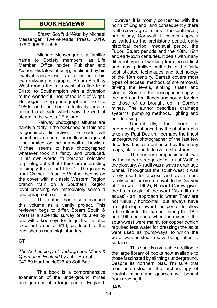# **BOOK REVIEWS**

*Steam South & West* by Michael Messenger, Twelveheads Press, 2019, 978 0 906294 95 6

Michael Messenger is a familiar name to Society members, as Life Member, Office holder, Publisher and Author. His latest offering, published by his Twelveheads Press, is a collection of his own railway photographs. Steam South & West roams the rails west of a line from Bristol to Southampton with a diversion to the wonderful lines of the Isle of Wight. He began taking photographs in the late 1950s and the book effectively covers around a decade which saw the end of steam in the west of England.

Railway photograph albums are hardly a rarity in the bookshop but this one is genuinely distinctive. The reader will search in vain here for endless images of 'The Limited' on the sea wall at Dawlish. Michael seems to have photographed whatever took his fancy and produced, in his own words, "a personal selection of photographs that I think are interesting or simply those that I like". The journey from Gwinear Road to Ventnor begins on the cover with a classic Western Region branch train on a Southern Region level crossing; we immediately sense a photograph of real interest.

The author has also described this volume as a vanity project. This reviewer begs to differ. Steam South & West is a splendid survey of its area by one with a keen eye for its quirks. It is also excellent value at £16, produced to the publisher's usual high standard.

#### **GT**

#### *The Archaeology of Underground Mines & Quarries in England* by John Barnatt £40.69 Hard back/£26.40 Soft Back

This book is a comprehensive examination of the underground mines and quarries of a large part of England.

However, it is mostly concerned with the north of England, and consequently there is little coverage of mines in the south-west, particularly, Cornwall. It covers aspects as varied as the prehistoric period, early historical period, medieval period, the Tudor, Stuart periods and the 18th, 19th and early 20th centuries. It deals with many different types of working from the earliest and most primitive methods to the fairly sophisticated techniques and technology of the 19th century. Barnatt covers most types of access, methods of ore removal, driving the levels, sinking shafts and stoping. Some of the descriptions apply to the north and midlands and sound foreign to those of us brought up in Cornish mines. The author describes drainage systems, pumping methods, lighting and ore dressing.

Undoubtedly, the book is enormously enhanced by the photographs taken by Paul Deakin, perhaps the finest underground photographer of the last few decades. It is also enhanced by the many maps, plans and lode (vein) structures.

The northern emphasis is shown by the rather strange definition of 'Adit' in the glossary. An adit was always a drainage tunnel. Throughout the south-west it was rarely used for access and even more rarely used for ore removal. In his Survey of Cornwall (1602), Richard Carew gives the Latin origin of the word 'Ab aditu ad aquas' - an approach to water. They are not 'usually horizontal', but always have a slight slope toward the portal, to allow a free flow for the water. During the 18th and 19th centuries, when the mines in the south-west were mainly for copper (which required less water for dressing) the adits were used as 'pumpways' to which the water was hoisted to save being taken to surface.

This book is a valuable addition to the large library of books now available to those fascinated by all things underground. Despite its northern bias, I'm sure that most interested in the archaeology of English mines and quarries will benefit from reading it.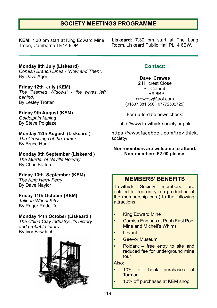# **SOCIETY MEETINGS PROGRAMME**

**KEM**: 7.30 pm start at King Edward Mine, Troon, Camborne TR14 9DP.

**Liskeard**: 7.30 pm start at The Long Room, Liskeard Public Hall PL14 6BW.

**Monday 8th July (Liskeard)** *Cornish Branch Lines - "Now and Then".* By Dave Ager

**Friday 12th July (KEM)** *The "Married Widows" - the wives left behind.* By Lesley Trotter

**Friday 9th August (KEM)** *Goldolphin Mining* **By Steve Polglaze** 

**Monday 12th August (Liskeard )**

*The Crossings of the Tamar* By Bruce Hunt

**Monday 9th September (Liskeard )** *The Murder of Neville Norway* By Chris Batters

**Friday 13th September (KEM)** *The King Harry Ferry* By Dave Naylor

**Friday 11th October (KEM)** *Talk on Wheal Kitty* By Roger Radcliffe

### **Monday 14th October (Liskeard )**

*The China Clay Industry: it's history and probable future* By Ivor Bowditch



### **Contact:**

**Dave Crewes**

2 Hillcrest Close St. Columb TR9 6BP crewesy@aol.com (01637 881 556 07772502725)

For up-to-date news check:

http://www.trevithick-society.org.uk

https://www.facebook.com/trevithick. society/

**Non-members are welcome to attend. Non-members £2.00 please.**

# **MEMBERS' BENEFITS**

Trevithick Society members are entitled to free entry (on production of the membership card) to the following attractions:

- **King Edward Mine**
- Cornish Engines at Pool (East Pool Mine and Michell's Whim)
- Levant
- Geevor Museum
- Poldark free entry to site and reduced fee for underground mine tour

Also:

- 10% off book purchases at Tormark.
	- 10% off purchases at KEM shop.